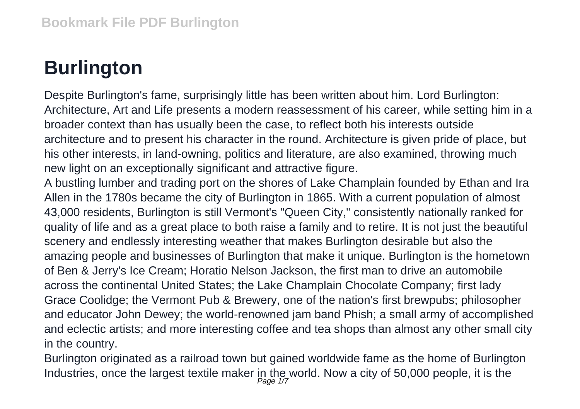## **Burlington**

Despite Burlington's fame, surprisingly little has been written about him. Lord Burlington: Architecture, Art and Life presents a modern reassessment of his career, while setting him in a broader context than has usually been the case, to reflect both his interests outside architecture and to present his character in the round. Architecture is given pride of place, but his other interests, in land-owning, politics and literature, are also examined, throwing much new light on an exceptionally significant and attractive figure.

A bustling lumber and trading port on the shores of Lake Champlain founded by Ethan and Ira Allen in the 1780s became the city of Burlington in 1865. With a current population of almost 43,000 residents, Burlington is still Vermont's "Queen City," consistently nationally ranked for quality of life and as a great place to both raise a family and to retire. It is not just the beautiful scenery and endlessly interesting weather that makes Burlington desirable but also the amazing people and businesses of Burlington that make it unique. Burlington is the hometown of Ben & Jerry's Ice Cream; Horatio Nelson Jackson, the first man to drive an automobile across the continental United States; the Lake Champlain Chocolate Company; first lady Grace Coolidge; the Vermont Pub & Brewery, one of the nation's first brewpubs; philosopher and educator John Dewey; the world-renowned jam band Phish; a small army of accomplished and eclectic artists; and more interesting coffee and tea shops than almost any other small city in the country.

Burlington originated as a railroad town but gained worldwide fame as the home of Burlington Industries, once the largest textile maker in the world. Now a city of 50,000 people, it is the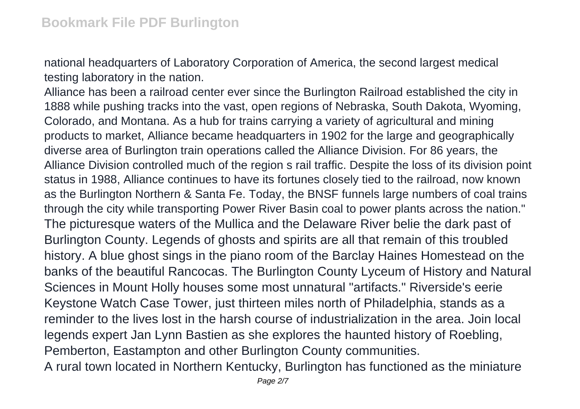national headquarters of Laboratory Corporation of America, the second largest medical testing laboratory in the nation.

Alliance has been a railroad center ever since the Burlington Railroad established the city in 1888 while pushing tracks into the vast, open regions of Nebraska, South Dakota, Wyoming, Colorado, and Montana. As a hub for trains carrying a variety of agricultural and mining products to market, Alliance became headquarters in 1902 for the large and geographically diverse area of Burlington train operations called the Alliance Division. For 86 years, the Alliance Division controlled much of the region s rail traffic. Despite the loss of its division point status in 1988, Alliance continues to have its fortunes closely tied to the railroad, now known as the Burlington Northern & Santa Fe. Today, the BNSF funnels large numbers of coal trains through the city while transporting Power River Basin coal to power plants across the nation." The picturesque waters of the Mullica and the Delaware River belie the dark past of Burlington County. Legends of ghosts and spirits are all that remain of this troubled history. A blue ghost sings in the piano room of the Barclay Haines Homestead on the banks of the beautiful Rancocas. The Burlington County Lyceum of History and Natural Sciences in Mount Holly houses some most unnatural "artifacts." Riverside's eerie Keystone Watch Case Tower, just thirteen miles north of Philadelphia, stands as a reminder to the lives lost in the harsh course of industrialization in the area. Join local legends expert Jan Lynn Bastien as she explores the haunted history of Roebling, Pemberton, Eastampton and other Burlington County communities.

A rural town located in Northern Kentucky, Burlington has functioned as the miniature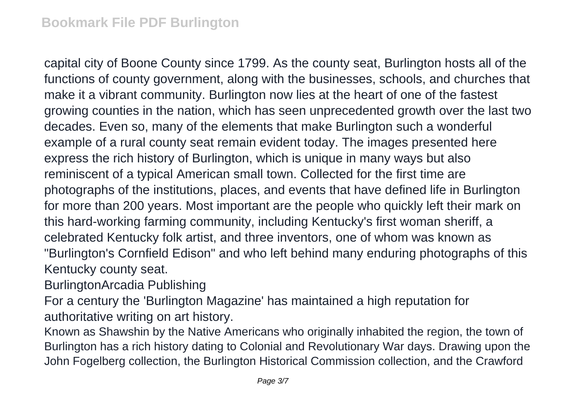capital city of Boone County since 1799. As the county seat, Burlington hosts all of the functions of county government, along with the businesses, schools, and churches that make it a vibrant community. Burlington now lies at the heart of one of the fastest growing counties in the nation, which has seen unprecedented growth over the last two decades. Even so, many of the elements that make Burlington such a wonderful example of a rural county seat remain evident today. The images presented here express the rich history of Burlington, which is unique in many ways but also reminiscent of a typical American small town. Collected for the first time are photographs of the institutions, places, and events that have defined life in Burlington for more than 200 years. Most important are the people who quickly left their mark on this hard-working farming community, including Kentucky's first woman sheriff, a celebrated Kentucky folk artist, and three inventors, one of whom was known as "Burlington's Cornfield Edison" and who left behind many enduring photographs of this Kentucky county seat.

BurlingtonArcadia Publishing

For a century the 'Burlington Magazine' has maintained a high reputation for authoritative writing on art history.

Known as Shawshin by the Native Americans who originally inhabited the region, the town of Burlington has a rich history dating to Colonial and Revolutionary War days. Drawing upon the John Fogelberg collection, the Burlington Historical Commission collection, and the Crawford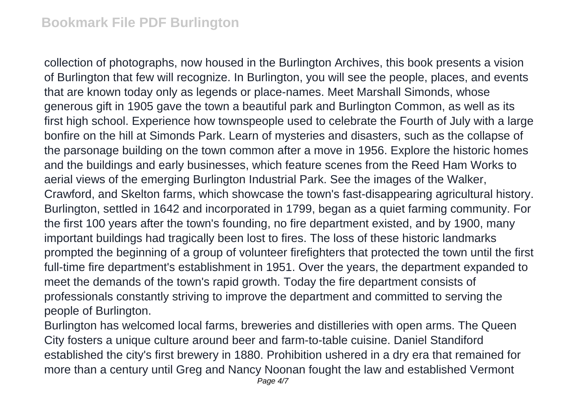collection of photographs, now housed in the Burlington Archives, this book presents a vision of Burlington that few will recognize. In Burlington, you will see the people, places, and events that are known today only as legends or place-names. Meet Marshall Simonds, whose generous gift in 1905 gave the town a beautiful park and Burlington Common, as well as its first high school. Experience how townspeople used to celebrate the Fourth of July with a large bonfire on the hill at Simonds Park. Learn of mysteries and disasters, such as the collapse of the parsonage building on the town common after a move in 1956. Explore the historic homes and the buildings and early businesses, which feature scenes from the Reed Ham Works to aerial views of the emerging Burlington Industrial Park. See the images of the Walker, Crawford, and Skelton farms, which showcase the town's fast-disappearing agricultural history. Burlington, settled in 1642 and incorporated in 1799, began as a quiet farming community. For the first 100 years after the town's founding, no fire department existed, and by 1900, many important buildings had tragically been lost to fires. The loss of these historic landmarks prompted the beginning of a group of volunteer firefighters that protected the town until the first full-time fire department's establishment in 1951. Over the years, the department expanded to meet the demands of the town's rapid growth. Today the fire department consists of professionals constantly striving to improve the department and committed to serving the people of Burlington.

Burlington has welcomed local farms, breweries and distilleries with open arms. The Queen City fosters a unique culture around beer and farm-to-table cuisine. Daniel Standiford established the city's first brewery in 1880. Prohibition ushered in a dry era that remained for more than a century until Greg and Nancy Noonan fought the law and established Vermont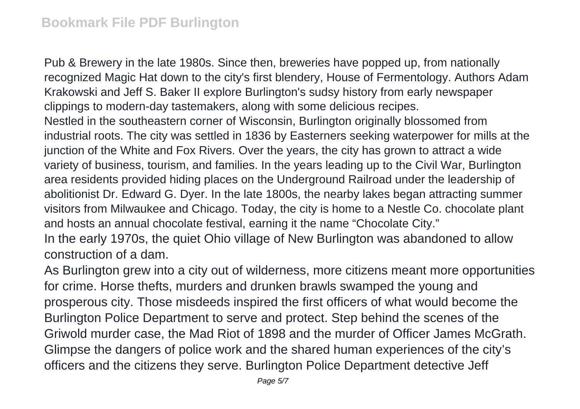Pub & Brewery in the late 1980s. Since then, breweries have popped up, from nationally recognized Magic Hat down to the city's first blendery, House of Fermentology. Authors Adam Krakowski and Jeff S. Baker II explore Burlington's sudsy history from early newspaper clippings to modern-day tastemakers, along with some delicious recipes. Nestled in the southeastern corner of Wisconsin, Burlington originally blossomed from industrial roots. The city was settled in 1836 by Easterners seeking waterpower for mills at the junction of the White and Fox Rivers. Over the years, the city has grown to attract a wide variety of business, tourism, and families. In the years leading up to the Civil War, Burlington area residents provided hiding places on the Underground Railroad under the leadership of abolitionist Dr. Edward G. Dyer. In the late 1800s, the nearby lakes began attracting summer visitors from Milwaukee and Chicago. Today, the city is home to a Nestle Co. chocolate plant and hosts an annual chocolate festival, earning it the name "Chocolate City." In the early 1970s, the quiet Ohio village of New Burlington was abandoned to allow

construction of a dam.

As Burlington grew into a city out of wilderness, more citizens meant more opportunities for crime. Horse thefts, murders and drunken brawls swamped the young and prosperous city. Those misdeeds inspired the first officers of what would become the Burlington Police Department to serve and protect. Step behind the scenes of the Griwold murder case, the Mad Riot of 1898 and the murder of Officer James McGrath. Glimpse the dangers of police work and the shared human experiences of the city's officers and the citizens they serve. Burlington Police Department detective Jeff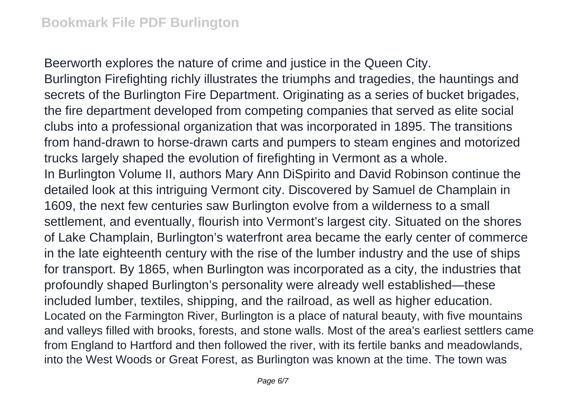Beerworth explores the nature of crime and justice in the Queen City.

Burlington Firefighting richly illustrates the triumphs and tragedies, the hauntings and secrets of the Burlington Fire Department. Originating as a series of bucket brigades, the fire department developed from competing companies that served as elite social clubs into a professional organization that was incorporated in 1895. The transitions from hand-drawn to horse-drawn carts and pumpers to steam engines and motorized trucks largely shaped the evolution of firefighting in Vermont as a whole. In Burlington Volume II, authors Mary Ann DiSpirito and David Robinson continue the detailed look at this intriguing Vermont city. Discovered by Samuel de Champlain in 1609, the next few centuries saw Burlington evolve from a wilderness to a small settlement, and eventually, flourish into Vermont's largest city. Situated on the shores of Lake Champlain, Burlington's waterfront area became the early center of commerce in the late eighteenth century with the rise of the lumber industry and the use of ships for transport. By 1865, when Burlington was incorporated as a city, the industries that profoundly shaped Burlington's personality were already well established—these included lumber, textiles, shipping, and the railroad, as well as higher education. Located on the Farmington River, Burlington is a place of natural beauty, with five mountains and valleys filled with brooks, forests, and stone walls. Most of the area's earliest settlers came from England to Hartford and then followed the river, with its fertile banks and meadowlands, into the West Woods or Great Forest, as Burlington was known at the time. The town was